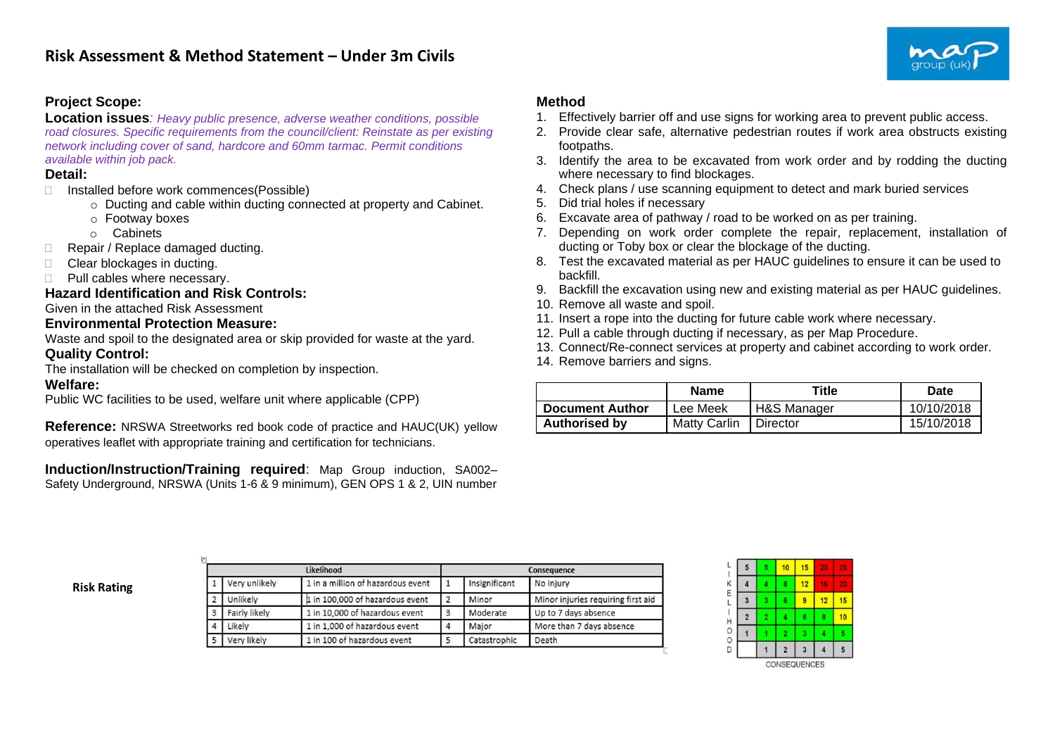

# **Project Scope:**

**Location issues***: Heavy public presence, adverse weather conditions, possible road closures. Specific requirements from the council/client: Reinstate as per existing network including cover of sand, hardcore and 60mm tarmac. Permit conditions available within job pack.*

### **Detail:**

- □ Installed before work commences(Possible)
	- o Ducting and cable within ducting connected at property and Cabinet.
	- o Footway boxes
	- o Cabinets
- Repair / Replace damaged ducting.
- □ Clear blockages in ducting.
- **Pull cables where necessary.**

#### **Hazard Identification and Risk Controls:**

### Given in the attached Risk Assessment

#### **Environmental Protection Measure:**

Waste and spoil to the designated area or skip provided for waste at the yard.

## **Quality Control:**

The installation will be checked on completion by inspection.

## **Welfare:**

Public WC facilities to be used, welfare unit where applicable (CPP)

**Reference:** NRSWA Streetworks red book code of practice and HAUC(UK) yellow operatives leaflet with appropriate training and certification for technicians.

**Induction/Instruction/Training required**: Map Group induction, SA002– Safety Underground, NRSWA (Units 1-6 & 9 minimum), GEN OPS 1 & 2, UIN number

# **Method**

- 1. Effectively barrier off and use signs for working area to prevent public access.
- 2. Provide clear safe, alternative pedestrian routes if work area obstructs existing footpaths.
- 3. Identify the area to be excavated from work order and by rodding the ducting where necessary to find blockages.
- 4. Check plans / use scanning equipment to detect and mark buried services
- 5. Did trial holes if necessary
- 6. Excavate area of pathway / road to be worked on as per training.
- 7. Depending on work order complete the repair, replacement, installation of ducting or Toby box or clear the blockage of the ducting.
- 8. Test the excavated material as per HAUC guidelines to ensure it can be used to backfill.
- 9. Backfill the excavation using new and existing material as per HAUC guidelines.
- 10. Remove all waste and spoil.
- 11. Insert a rope into the ducting for future cable work where necessary.
- 12. Pull a cable through ducting if necessary, as per Map Procedure.
- 13. Connect/Re-connect services at property and cabinet according to work order.
- 14. Remove barriers and signs.

|                        | <b>Name</b>         | Title       | <b>Date</b> |
|------------------------|---------------------|-------------|-------------|
| <b>Document Author</b> | Lee Meek            | H&S Manager | 10/10/2018  |
| <b>Authorised by</b>   | <b>Matty Carlin</b> | Director    | 15/10/2018  |

**Risk Rating**

|          |               | Likelihood                        |   |               | Consequence                        |
|----------|---------------|-----------------------------------|---|---------------|------------------------------------|
|          | Very unlikely | 1 in a million of hazardous event |   | Insignificant | No injury                          |
|          | Unlikely      | 1 in 100,000 of hazardous event   |   | Minor         | Minor injuries requiring first aid |
| 3        | Fairly likely | 1 in 10,000 of hazardous event    | 3 | Moderate      | Up to 7 days absence               |
| $\Delta$ | Likely        | 1 in 1,000 of hazardous event     | 4 | Major         | More than 7 days absence           |
|          | Very likely   | 1 in 100 of hazardous event       |   | Catastrophic  | Death                              |

|   | 10             | 15 |    |    |
|---|----------------|----|----|----|
| 4 | 8              | 12 |    |    |
|   | 6              | 9  | 12 | 15 |
| 2 | ı              | 6  | 8  | 10 |
|   | 2              | 3  |    |    |
|   | $\overline{2}$ | 3  |    | 5  |
|   |                |    |    |    |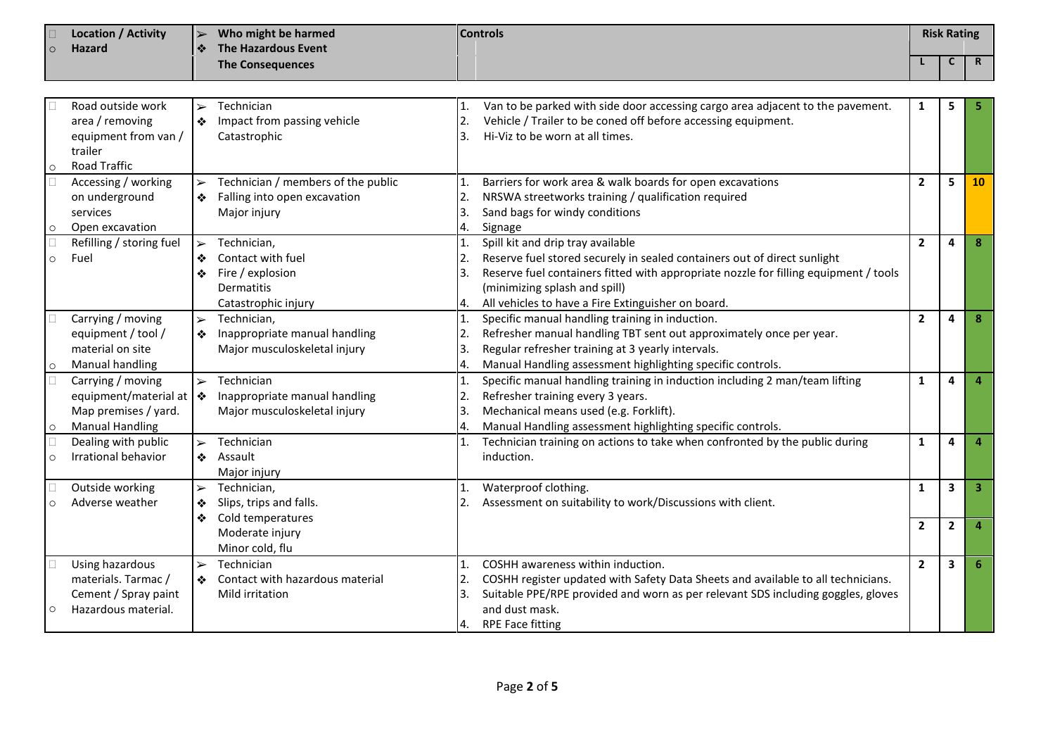| $\circ$           | <b>Location / Activity</b><br>$\blacktriangleright$<br><b>Hazard</b><br>❖                                          |                                 | Who might be harmed<br><b>The Hazardous Event</b>                                         |                                  | <b>Controls</b>                                                                                                                                                                                                                                                                              | <b>Risk Rating</b> |                |              |
|-------------------|--------------------------------------------------------------------------------------------------------------------|---------------------------------|-------------------------------------------------------------------------------------------|----------------------------------|----------------------------------------------------------------------------------------------------------------------------------------------------------------------------------------------------------------------------------------------------------------------------------------------|--------------------|----------------|--------------|
|                   |                                                                                                                    |                                 | <b>The Consequences</b>                                                                   |                                  |                                                                                                                                                                                                                                                                                              |                    | C              | $\mathsf{R}$ |
|                   |                                                                                                                    |                                 |                                                                                           |                                  |                                                                                                                                                                                                                                                                                              |                    |                |              |
| $\circ$           | Road outside work<br>area / removing<br>equipment from van /<br>trailer<br><b>Road Traffic</b>                     | $\blacktriangleright$<br>❖      | Technician<br>Impact from passing vehicle<br>Catastrophic                                 | 1.<br>2.<br>3.                   | Van to be parked with side door accessing cargo area adjacent to the pavement.<br>Vehicle / Trailer to be coned off before accessing equipment.<br>Hi-Viz to be worn at all times.                                                                                                           | 1                  | 5              |              |
| $\Box$<br>$\circ$ | Accessing / working<br>on underground<br>services<br>Open excavation                                               | $\blacktriangleright$<br>❖      | Technician / members of the public<br>Falling into open excavation<br>Major injury        | 1.<br>2.<br>3.<br>4.             | Barriers for work area & walk boards for open excavations<br>NRSWA streetworks training / qualification required<br>Sand bags for windy conditions<br>Signage                                                                                                                                | $\overline{2}$     | 5              | 10           |
| $\circ$           | Refilling / storing fuel<br>Fuel                                                                                   | $\blacktriangleright$<br>❖<br>❖ | Technician,<br>Contact with fuel<br>Fire / explosion<br>Dermatitis<br>Catastrophic injury | 1.<br>2.<br>3.<br>4.             | Spill kit and drip tray available<br>Reserve fuel stored securely in sealed containers out of direct sunlight<br>Reserve fuel containers fitted with appropriate nozzle for filling equipment / tools<br>(minimizing splash and spill)<br>All vehicles to have a Fire Extinguisher on board. | $\overline{2}$     | 4              | 8            |
| $\circ$           | Carrying / moving<br>equipment / tool /<br>material on site<br>Manual handling                                     | $\blacktriangleright$<br>❖      | Technician,<br>Inappropriate manual handling<br>Major musculoskeletal injury              | 1.<br>2.<br>3.<br>4.             | Specific manual handling training in induction.<br>Refresher manual handling TBT sent out approximately once per year.<br>Regular refresher training at 3 yearly intervals.<br>Manual Handling assessment highlighting specific controls.                                                    | $\overline{2}$     | 4              | 8            |
| $\Box$<br>$\circ$ | Carrying / moving<br>equipment/material at $\blacktriangleright$<br>Map premises / yard.<br><b>Manual Handling</b> | $\blacktriangleright$           | Technician<br>Inappropriate manual handling<br>Major musculoskeletal injury               | 1.<br>2.<br>3.<br>4.             | Specific manual handling training in induction including 2 man/team lifting<br>Refresher training every 3 years.<br>Mechanical means used (e.g. Forklift).<br>Manual Handling assessment highlighting specific controls.                                                                     | $\mathbf{1}$       | 4              |              |
| $\circ$           | Dealing with public<br>Irrational behavior                                                                         | $\blacktriangleright$<br>❖      | Technician<br>Assault<br>Major injury                                                     |                                  | Technician training on actions to take when confronted by the public during<br>induction.                                                                                                                                                                                                    | $\mathbf{1}$       | 4              |              |
| $\circ$           | Outside working<br>Adverse weather                                                                                 | $\blacktriangleright$<br>❖<br>❖ | Technician,<br>Slips, trips and falls.<br>Cold temperatures                               | 1.                               | Waterproof clothing.<br>Assessment on suitability to work/Discussions with client.                                                                                                                                                                                                           | $\mathbf{1}$       | 3              | 3            |
|                   |                                                                                                                    |                                 | Moderate injury<br>Minor cold, flu                                                        |                                  |                                                                                                                                                                                                                                                                                              | $\overline{2}$     | $\overline{2}$ |              |
| $\circ$           | Using hazardous<br>materials. Tarmac /<br>Cement / Spray paint<br>Hazardous material.                              | $\blacktriangleright$<br>❖      | Technician<br>Contact with hazardous material<br>Mild irritation                          | $\mathbf{1}$ .<br>2.<br>3.<br>4. | COSHH awareness within induction.<br>COSHH register updated with Safety Data Sheets and available to all technicians.<br>Suitable PPE/RPE provided and worn as per relevant SDS including goggles, gloves<br>and dust mask.<br><b>RPE Face fitting</b>                                       | $\overline{2}$     | 3              | 6            |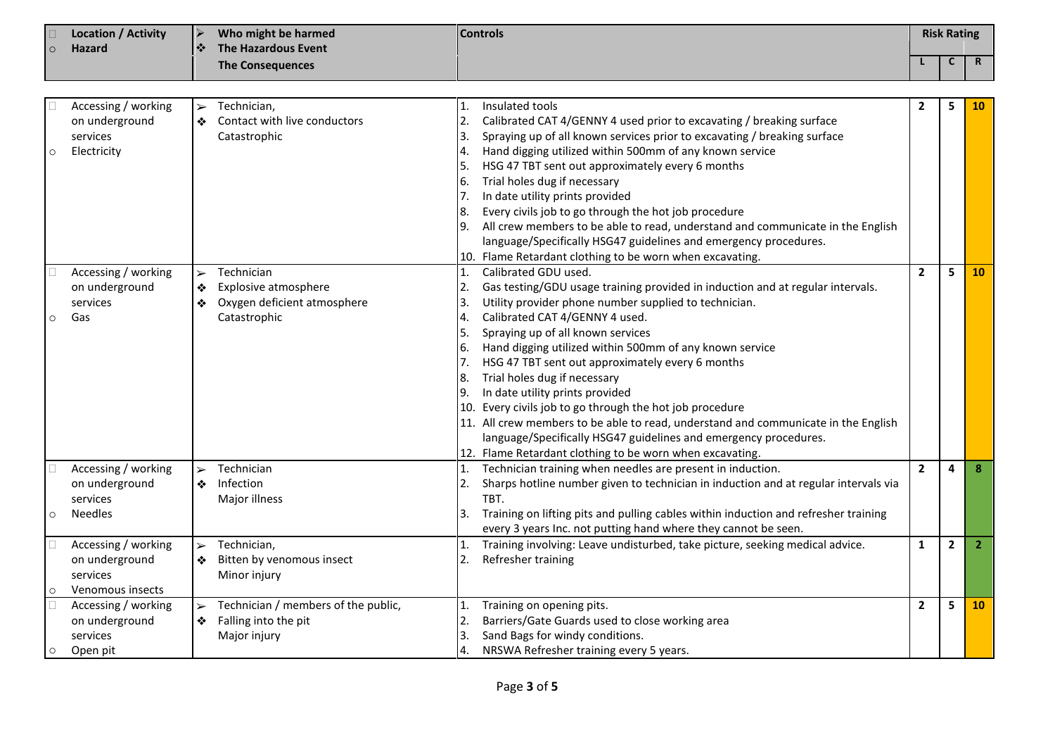|         | <b>Controls</b><br><b>Location / Activity</b><br>➤<br>Who might be harmed<br>❖<br><b>The Hazardous Event</b><br><b>Hazard</b> |                                 |                                                                                   | <b>Risk Rating</b>                                 |                                                                                                                                                                                                                                                                                                                                                                                                                                                                                                                                                                                                                                                                                                                                                                        |                |              |                |
|---------|-------------------------------------------------------------------------------------------------------------------------------|---------------------------------|-----------------------------------------------------------------------------------|----------------------------------------------------|------------------------------------------------------------------------------------------------------------------------------------------------------------------------------------------------------------------------------------------------------------------------------------------------------------------------------------------------------------------------------------------------------------------------------------------------------------------------------------------------------------------------------------------------------------------------------------------------------------------------------------------------------------------------------------------------------------------------------------------------------------------------|----------------|--------------|----------------|
| $\circ$ |                                                                                                                               |                                 | <b>The Consequences</b>                                                           |                                                    |                                                                                                                                                                                                                                                                                                                                                                                                                                                                                                                                                                                                                                                                                                                                                                        |                | C            | $\mathbf R$    |
|         |                                                                                                                               |                                 |                                                                                   |                                                    |                                                                                                                                                                                                                                                                                                                                                                                                                                                                                                                                                                                                                                                                                                                                                                        |                |              |                |
| $\circ$ | Accessing / working<br>on underground<br>services<br>Electricity                                                              | $\blacktriangleright$<br>❖      | Technician,<br>Contact with live conductors<br>Catastrophic                       | 1.<br>2.<br>3.<br>4.<br>5.<br>6.<br>7.<br>8.<br>9. | Insulated tools<br>Calibrated CAT 4/GENNY 4 used prior to excavating / breaking surface<br>Spraying up of all known services prior to excavating / breaking surface<br>Hand digging utilized within 500mm of any known service<br>HSG 47 TBT sent out approximately every 6 months<br>Trial holes dug if necessary<br>In date utility prints provided<br>Every civils job to go through the hot job procedure<br>All crew members to be able to read, understand and communicate in the English<br>language/Specifically HSG47 guidelines and emergency procedures.                                                                                                                                                                                                    | $\mathbf{2}$   | 5            | <b>10</b>      |
| $\circ$ | Accessing / working<br>on underground<br>services<br>Gas                                                                      | $\blacktriangleright$<br>❖<br>❖ | Technician<br>Explosive atmosphere<br>Oxygen deficient atmosphere<br>Catastrophic | 1.<br>2.<br>3.<br>4.<br>5.<br>6.<br>7.<br>8.<br>9. | 10. Flame Retardant clothing to be worn when excavating.<br>Calibrated GDU used.<br>Gas testing/GDU usage training provided in induction and at regular intervals.<br>Utility provider phone number supplied to technician.<br>Calibrated CAT 4/GENNY 4 used.<br>Spraying up of all known services<br>Hand digging utilized within 500mm of any known service<br>HSG 47 TBT sent out approximately every 6 months<br>Trial holes dug if necessary<br>In date utility prints provided<br>10. Every civils job to go through the hot job procedure<br>11. All crew members to be able to read, understand and communicate in the English<br>language/Specifically HSG47 guidelines and emergency procedures.<br>12. Flame Retardant clothing to be worn when excavating. | $\overline{2}$ | 5            | 10             |
| $\circ$ | Accessing / working<br>on underground<br>services<br><b>Needles</b>                                                           | $\blacktriangleright$<br>❖      | Technician<br>Infection<br>Major illness                                          | 1.<br>2.<br>3.                                     | Technician training when needles are present in induction.<br>Sharps hotline number given to technician in induction and at regular intervals via<br>TBT.<br>Training on lifting pits and pulling cables within induction and refresher training<br>every 3 years Inc. not putting hand where they cannot be seen.                                                                                                                                                                                                                                                                                                                                                                                                                                                     | $\overline{2}$ | 4            | 8 <sup>°</sup> |
| $\circ$ | Accessing / working<br>on underground<br>services<br>Venomous insects                                                         | $\blacktriangleright$<br>❖      | Technician,<br>Bitten by venomous insect<br>Minor injury                          | 2.                                                 | Training involving: Leave undisturbed, take picture, seeking medical advice.<br>Refresher training                                                                                                                                                                                                                                                                                                                                                                                                                                                                                                                                                                                                                                                                     | $\mathbf{1}$   | $\mathbf{2}$ | $\overline{2}$ |
| $\circ$ | Accessing / working<br>on underground<br>services<br>Open pit                                                                 | $\blacktriangleright$<br>❖      | Technician / members of the public,<br>Falling into the pit<br>Major injury       | 1.<br>2.<br>3.<br>4.                               | Training on opening pits.<br>Barriers/Gate Guards used to close working area<br>Sand Bags for windy conditions.<br>NRSWA Refresher training every 5 years.                                                                                                                                                                                                                                                                                                                                                                                                                                                                                                                                                                                                             | $\mathbf{2}$   | 5            | 10             |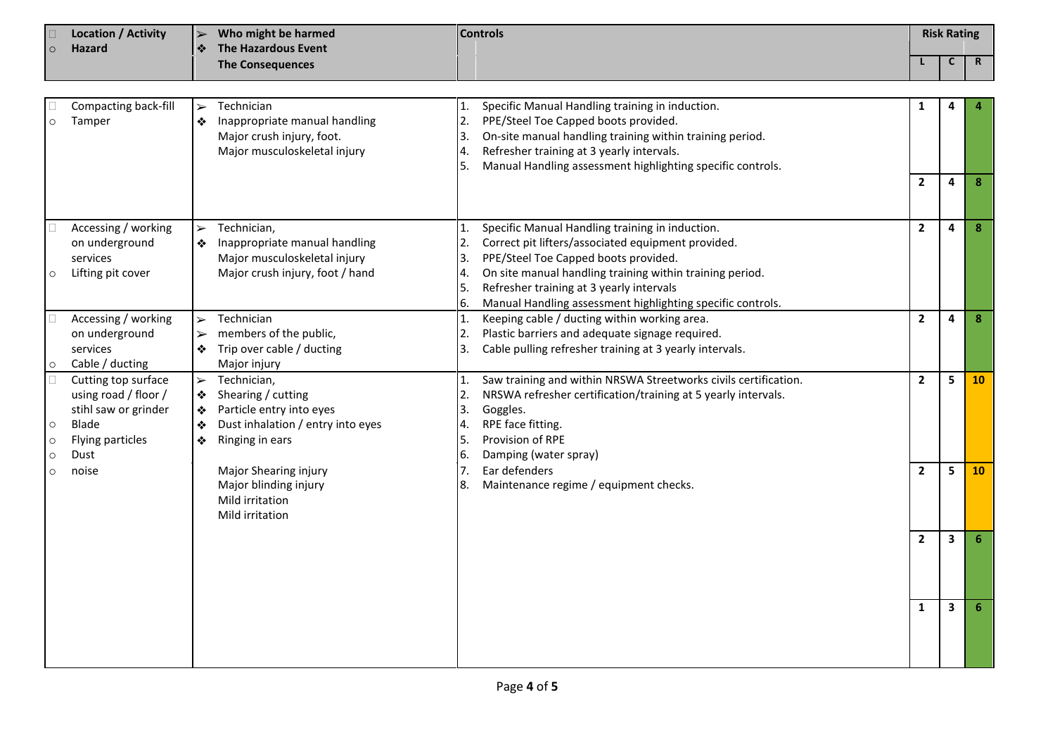| <b>Location / Activity</b><br>$\blacktriangleright$<br>Hazard<br>❖<br>$\circ$ |                                                                                                          | Who might be harmed<br>The Hazardous Event          | <b>Controls</b>                                                                                                       |                                  |                                                                                                                                                                                                                                                                                                                     | <b>Risk Rating</b> |                         |             |
|-------------------------------------------------------------------------------|----------------------------------------------------------------------------------------------------------|-----------------------------------------------------|-----------------------------------------------------------------------------------------------------------------------|----------------------------------|---------------------------------------------------------------------------------------------------------------------------------------------------------------------------------------------------------------------------------------------------------------------------------------------------------------------|--------------------|-------------------------|-------------|
|                                                                               |                                                                                                          |                                                     | <b>The Consequences</b>                                                                                               |                                  |                                                                                                                                                                                                                                                                                                                     |                    | C                       | $\mathbf R$ |
|                                                                               |                                                                                                          |                                                     |                                                                                                                       |                                  |                                                                                                                                                                                                                                                                                                                     |                    |                         |             |
| $\circ$                                                                       | Compacting back-fill<br>Tamper                                                                           | $\blacktriangleright$<br>❖                          | Technician<br>Inappropriate manual handling<br>Major crush injury, foot.<br>Major musculoskeletal injury              | 1.<br>2.<br>3.<br>4.<br>5.       | Specific Manual Handling training in induction.<br>PPE/Steel Toe Capped boots provided.<br>On-site manual handling training within training period.<br>Refresher training at 3 yearly intervals.<br>Manual Handling assessment highlighting specific controls.                                                      | 1                  | 4                       |             |
|                                                                               |                                                                                                          |                                                     |                                                                                                                       |                                  |                                                                                                                                                                                                                                                                                                                     | $\overline{2}$     | $\overline{a}$          | 8           |
| $\circ$                                                                       | Accessing / working<br>on underground<br>services<br>Lifting pit cover                                   | $\blacktriangleright$<br>❖                          | Technician,<br>Inappropriate manual handling<br>Major musculoskeletal injury<br>Major crush injury, foot / hand       | 1.<br>2.<br>3.<br>4.<br>5.<br>6. | Specific Manual Handling training in induction.<br>Correct pit lifters/associated equipment provided.<br>PPE/Steel Toe Capped boots provided.<br>On site manual handling training within training period.<br>Refresher training at 3 yearly intervals<br>Manual Handling assessment highlighting specific controls. | $\mathbf{2}$       | $\overline{a}$          | 8           |
| $\circ$                                                                       | Accessing / working<br>on underground<br>services<br>Cable / ducting                                     | $\blacktriangleright$<br>$\blacktriangleright$<br>❖ | Technician<br>members of the public,<br>Trip over cable / ducting<br>Major injury                                     | 1.<br>2.<br>3.                   | Keeping cable / ducting within working area.<br>Plastic barriers and adequate signage required.<br>Cable pulling refresher training at 3 yearly intervals.                                                                                                                                                          | $\overline{2}$     | 4                       | $\pmb{8}$   |
| $\circ$<br>$\circ$<br>$\circ$                                                 | Cutting top surface<br>using road / floor /<br>stihl saw or grinder<br>Blade<br>Flying particles<br>Dust | $\blacktriangleright$<br>❖<br>❖<br>❖<br>❖           | Technician,<br>Shearing / cutting<br>Particle entry into eyes<br>Dust inhalation / entry into eyes<br>Ringing in ears | 1.<br>2.<br>3.<br>4.<br>5.<br>6. | Saw training and within NRSWA Streetworks civils certification.<br>NRSWA refresher certification/training at 5 yearly intervals.<br>Goggles.<br>RPE face fitting.<br><b>Provision of RPE</b><br>Damping (water spray)                                                                                               | $\overline{2}$     | 5                       | 10          |
| $\circ$                                                                       | noise                                                                                                    |                                                     | Major Shearing injury<br>Major blinding injury<br>Mild irritation<br>Mild irritation                                  | 7.<br>8.                         | Ear defenders<br>Maintenance regime / equipment checks.                                                                                                                                                                                                                                                             | $\mathbf{2}$       | 5                       | 10          |
|                                                                               |                                                                                                          |                                                     |                                                                                                                       |                                  |                                                                                                                                                                                                                                                                                                                     | $\overline{2}$     | 3                       | 6           |
|                                                                               |                                                                                                          |                                                     |                                                                                                                       |                                  |                                                                                                                                                                                                                                                                                                                     | $\mathbf{1}$       | $\overline{\mathbf{3}}$ | 6           |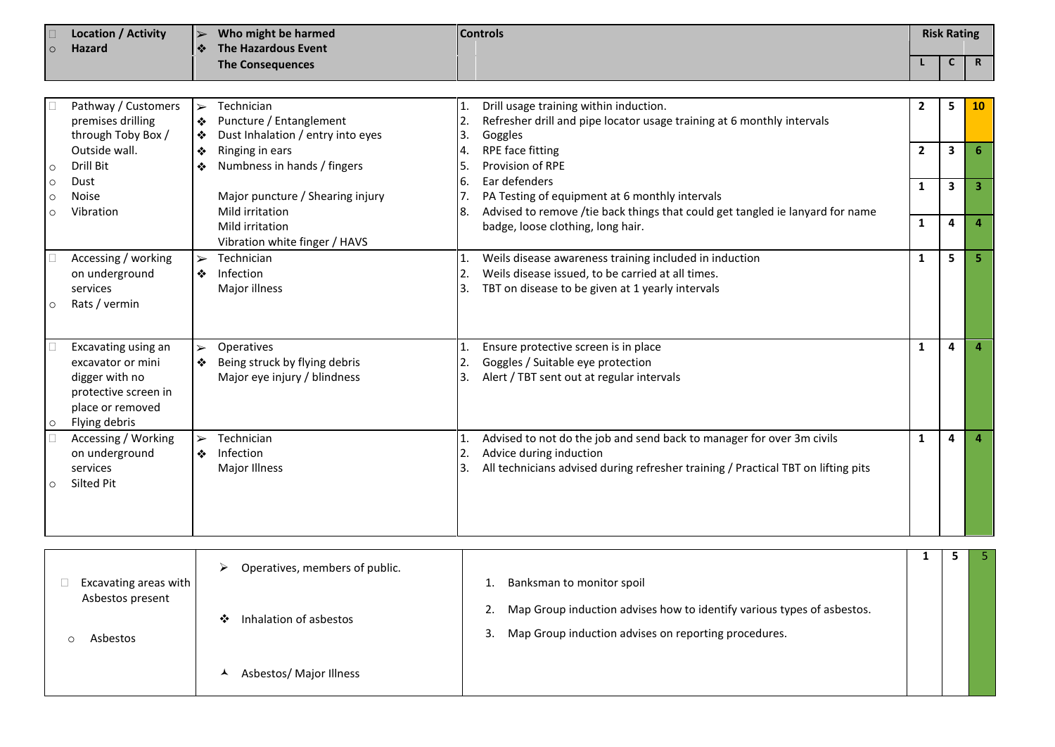| C<br>$\mathbf R$<br><b>The Consequences</b><br>Pathway / Customers<br>Technician<br>5<br>Drill usage training within induction.<br>$\overline{2}$<br><b>10</b><br>$\blacktriangleright$<br>premises drilling<br>Puncture / Entanglement<br>Refresher drill and pipe locator usage training at 6 monthly intervals<br>2.<br>❖<br>through Toby Box /<br>Dust Inhalation / entry into eyes<br>Goggles<br>3.<br>❖<br>$\overline{2}$<br>3<br>Outside wall.<br>RPE face fitting<br>6<br>Ringing in ears<br>❖<br>4.<br>Numbness in hands / fingers<br>Provision of RPE<br>Drill Bit<br>5.<br>❖<br>Ear defenders<br>6.<br>Dust<br>$\circ$<br>3<br>$\overline{\mathbf{3}}$<br>1<br>Major puncture / Shearing injury<br>PA Testing of equipment at 6 monthly intervals<br>Noise<br>$\circ$<br>Advised to remove /tie back things that could get tangled ie lanyard for name<br>Mild irritation<br>Vibration<br>8.<br>$\circ$<br>4<br>$\overline{4}$<br>1<br>Mild irritation<br>badge, loose clothing, long hair.<br>Vibration white finger / HAVS<br>Accessing / working<br>Technician<br>5<br>5.<br>Weils disease awareness training included in induction<br>1<br>$\blacktriangleright$<br>1.<br>Infection<br>Weils disease issued, to be carried at all times.<br>on underground<br>2.<br>❖<br>Major illness<br>TBT on disease to be given at 1 yearly intervals<br>services<br>3.<br>Rats / vermin<br>Excavating using an<br>Operatives<br>Ensure protective screen is in place<br>1<br>4<br>$\blacktriangleright$<br>$\overline{4}$<br>Being struck by flying debris<br>Goggles / Suitable eye protection<br>excavator or mini<br>❖<br>digger with no<br>Major eye injury / blindness<br>Alert / TBT sent out at regular intervals<br>3.<br>protective screen in<br>place or removed<br>Flying debris<br>Accessing / Working<br>Technician<br>Advised to not do the job and send back to manager for over 3m civils<br>4<br>1<br>$\overline{a}$<br>1.<br>$\blacktriangleright$<br>Infection<br>on underground<br>2.<br>Advice during induction<br>❖<br>All technicians advised during refresher training / Practical TBT on lifting pits<br>services<br>Major Illness<br>Silted Pit<br>5<br>1<br>5<br>$\triangleright$ Oneratives members of public | <b>Controls</b><br><b>Location / Activity</b><br>Who might be harmed<br>$\blacktriangleright$<br><b>The Hazardous Event</b><br><b>Hazard</b><br>❖<br>$\Omega$ |  |  | <b>Risk Rating</b> |  |  |  |
|------------------------------------------------------------------------------------------------------------------------------------------------------------------------------------------------------------------------------------------------------------------------------------------------------------------------------------------------------------------------------------------------------------------------------------------------------------------------------------------------------------------------------------------------------------------------------------------------------------------------------------------------------------------------------------------------------------------------------------------------------------------------------------------------------------------------------------------------------------------------------------------------------------------------------------------------------------------------------------------------------------------------------------------------------------------------------------------------------------------------------------------------------------------------------------------------------------------------------------------------------------------------------------------------------------------------------------------------------------------------------------------------------------------------------------------------------------------------------------------------------------------------------------------------------------------------------------------------------------------------------------------------------------------------------------------------------------------------------------------------------------------------------------------------------------------------------------------------------------------------------------------------------------------------------------------------------------------------------------------------------------------------------------------------------------------------------------------------------------------------------------------------------------------------------------------------------------------------------------------------|---------------------------------------------------------------------------------------------------------------------------------------------------------------|--|--|--------------------|--|--|--|
|                                                                                                                                                                                                                                                                                                                                                                                                                                                                                                                                                                                                                                                                                                                                                                                                                                                                                                                                                                                                                                                                                                                                                                                                                                                                                                                                                                                                                                                                                                                                                                                                                                                                                                                                                                                                                                                                                                                                                                                                                                                                                                                                                                                                                                                |                                                                                                                                                               |  |  |                    |  |  |  |
|                                                                                                                                                                                                                                                                                                                                                                                                                                                                                                                                                                                                                                                                                                                                                                                                                                                                                                                                                                                                                                                                                                                                                                                                                                                                                                                                                                                                                                                                                                                                                                                                                                                                                                                                                                                                                                                                                                                                                                                                                                                                                                                                                                                                                                                |                                                                                                                                                               |  |  |                    |  |  |  |
|                                                                                                                                                                                                                                                                                                                                                                                                                                                                                                                                                                                                                                                                                                                                                                                                                                                                                                                                                                                                                                                                                                                                                                                                                                                                                                                                                                                                                                                                                                                                                                                                                                                                                                                                                                                                                                                                                                                                                                                                                                                                                                                                                                                                                                                |                                                                                                                                                               |  |  |                    |  |  |  |
|                                                                                                                                                                                                                                                                                                                                                                                                                                                                                                                                                                                                                                                                                                                                                                                                                                                                                                                                                                                                                                                                                                                                                                                                                                                                                                                                                                                                                                                                                                                                                                                                                                                                                                                                                                                                                                                                                                                                                                                                                                                                                                                                                                                                                                                |                                                                                                                                                               |  |  |                    |  |  |  |
|                                                                                                                                                                                                                                                                                                                                                                                                                                                                                                                                                                                                                                                                                                                                                                                                                                                                                                                                                                                                                                                                                                                                                                                                                                                                                                                                                                                                                                                                                                                                                                                                                                                                                                                                                                                                                                                                                                                                                                                                                                                                                                                                                                                                                                                |                                                                                                                                                               |  |  |                    |  |  |  |
|                                                                                                                                                                                                                                                                                                                                                                                                                                                                                                                                                                                                                                                                                                                                                                                                                                                                                                                                                                                                                                                                                                                                                                                                                                                                                                                                                                                                                                                                                                                                                                                                                                                                                                                                                                                                                                                                                                                                                                                                                                                                                                                                                                                                                                                |                                                                                                                                                               |  |  |                    |  |  |  |
|                                                                                                                                                                                                                                                                                                                                                                                                                                                                                                                                                                                                                                                                                                                                                                                                                                                                                                                                                                                                                                                                                                                                                                                                                                                                                                                                                                                                                                                                                                                                                                                                                                                                                                                                                                                                                                                                                                                                                                                                                                                                                                                                                                                                                                                |                                                                                                                                                               |  |  |                    |  |  |  |
|                                                                                                                                                                                                                                                                                                                                                                                                                                                                                                                                                                                                                                                                                                                                                                                                                                                                                                                                                                                                                                                                                                                                                                                                                                                                                                                                                                                                                                                                                                                                                                                                                                                                                                                                                                                                                                                                                                                                                                                                                                                                                                                                                                                                                                                |                                                                                                                                                               |  |  |                    |  |  |  |
|                                                                                                                                                                                                                                                                                                                                                                                                                                                                                                                                                                                                                                                                                                                                                                                                                                                                                                                                                                                                                                                                                                                                                                                                                                                                                                                                                                                                                                                                                                                                                                                                                                                                                                                                                                                                                                                                                                                                                                                                                                                                                                                                                                                                                                                |                                                                                                                                                               |  |  |                    |  |  |  |
|                                                                                                                                                                                                                                                                                                                                                                                                                                                                                                                                                                                                                                                                                                                                                                                                                                                                                                                                                                                                                                                                                                                                                                                                                                                                                                                                                                                                                                                                                                                                                                                                                                                                                                                                                                                                                                                                                                                                                                                                                                                                                                                                                                                                                                                |                                                                                                                                                               |  |  |                    |  |  |  |
|                                                                                                                                                                                                                                                                                                                                                                                                                                                                                                                                                                                                                                                                                                                                                                                                                                                                                                                                                                                                                                                                                                                                                                                                                                                                                                                                                                                                                                                                                                                                                                                                                                                                                                                                                                                                                                                                                                                                                                                                                                                                                                                                                                                                                                                |                                                                                                                                                               |  |  |                    |  |  |  |
|                                                                                                                                                                                                                                                                                                                                                                                                                                                                                                                                                                                                                                                                                                                                                                                                                                                                                                                                                                                                                                                                                                                                                                                                                                                                                                                                                                                                                                                                                                                                                                                                                                                                                                                                                                                                                                                                                                                                                                                                                                                                                                                                                                                                                                                |                                                                                                                                                               |  |  |                    |  |  |  |
|                                                                                                                                                                                                                                                                                                                                                                                                                                                                                                                                                                                                                                                                                                                                                                                                                                                                                                                                                                                                                                                                                                                                                                                                                                                                                                                                                                                                                                                                                                                                                                                                                                                                                                                                                                                                                                                                                                                                                                                                                                                                                                                                                                                                                                                |                                                                                                                                                               |  |  |                    |  |  |  |
|                                                                                                                                                                                                                                                                                                                                                                                                                                                                                                                                                                                                                                                                                                                                                                                                                                                                                                                                                                                                                                                                                                                                                                                                                                                                                                                                                                                                                                                                                                                                                                                                                                                                                                                                                                                                                                                                                                                                                                                                                                                                                                                                                                                                                                                |                                                                                                                                                               |  |  |                    |  |  |  |
|                                                                                                                                                                                                                                                                                                                                                                                                                                                                                                                                                                                                                                                                                                                                                                                                                                                                                                                                                                                                                                                                                                                                                                                                                                                                                                                                                                                                                                                                                                                                                                                                                                                                                                                                                                                                                                                                                                                                                                                                                                                                                                                                                                                                                                                |                                                                                                                                                               |  |  |                    |  |  |  |
|                                                                                                                                                                                                                                                                                                                                                                                                                                                                                                                                                                                                                                                                                                                                                                                                                                                                                                                                                                                                                                                                                                                                                                                                                                                                                                                                                                                                                                                                                                                                                                                                                                                                                                                                                                                                                                                                                                                                                                                                                                                                                                                                                                                                                                                |                                                                                                                                                               |  |  |                    |  |  |  |
|                                                                                                                                                                                                                                                                                                                                                                                                                                                                                                                                                                                                                                                                                                                                                                                                                                                                                                                                                                                                                                                                                                                                                                                                                                                                                                                                                                                                                                                                                                                                                                                                                                                                                                                                                                                                                                                                                                                                                                                                                                                                                                                                                                                                                                                |                                                                                                                                                               |  |  |                    |  |  |  |
|                                                                                                                                                                                                                                                                                                                                                                                                                                                                                                                                                                                                                                                                                                                                                                                                                                                                                                                                                                                                                                                                                                                                                                                                                                                                                                                                                                                                                                                                                                                                                                                                                                                                                                                                                                                                                                                                                                                                                                                                                                                                                                                                                                                                                                                |                                                                                                                                                               |  |  |                    |  |  |  |
|                                                                                                                                                                                                                                                                                                                                                                                                                                                                                                                                                                                                                                                                                                                                                                                                                                                                                                                                                                                                                                                                                                                                                                                                                                                                                                                                                                                                                                                                                                                                                                                                                                                                                                                                                                                                                                                                                                                                                                                                                                                                                                                                                                                                                                                |                                                                                                                                                               |  |  |                    |  |  |  |
|                                                                                                                                                                                                                                                                                                                                                                                                                                                                                                                                                                                                                                                                                                                                                                                                                                                                                                                                                                                                                                                                                                                                                                                                                                                                                                                                                                                                                                                                                                                                                                                                                                                                                                                                                                                                                                                                                                                                                                                                                                                                                                                                                                                                                                                |                                                                                                                                                               |  |  |                    |  |  |  |
|                                                                                                                                                                                                                                                                                                                                                                                                                                                                                                                                                                                                                                                                                                                                                                                                                                                                                                                                                                                                                                                                                                                                                                                                                                                                                                                                                                                                                                                                                                                                                                                                                                                                                                                                                                                                                                                                                                                                                                                                                                                                                                                                                                                                                                                |                                                                                                                                                               |  |  |                    |  |  |  |
|                                                                                                                                                                                                                                                                                                                                                                                                                                                                                                                                                                                                                                                                                                                                                                                                                                                                                                                                                                                                                                                                                                                                                                                                                                                                                                                                                                                                                                                                                                                                                                                                                                                                                                                                                                                                                                                                                                                                                                                                                                                                                                                                                                                                                                                |                                                                                                                                                               |  |  |                    |  |  |  |
|                                                                                                                                                                                                                                                                                                                                                                                                                                                                                                                                                                                                                                                                                                                                                                                                                                                                                                                                                                                                                                                                                                                                                                                                                                                                                                                                                                                                                                                                                                                                                                                                                                                                                                                                                                                                                                                                                                                                                                                                                                                                                                                                                                                                                                                |                                                                                                                                                               |  |  |                    |  |  |  |
|                                                                                                                                                                                                                                                                                                                                                                                                                                                                                                                                                                                                                                                                                                                                                                                                                                                                                                                                                                                                                                                                                                                                                                                                                                                                                                                                                                                                                                                                                                                                                                                                                                                                                                                                                                                                                                                                                                                                                                                                                                                                                                                                                                                                                                                |                                                                                                                                                               |  |  |                    |  |  |  |
|                                                                                                                                                                                                                                                                                                                                                                                                                                                                                                                                                                                                                                                                                                                                                                                                                                                                                                                                                                                                                                                                                                                                                                                                                                                                                                                                                                                                                                                                                                                                                                                                                                                                                                                                                                                                                                                                                                                                                                                                                                                                                                                                                                                                                                                |                                                                                                                                                               |  |  |                    |  |  |  |
|                                                                                                                                                                                                                                                                                                                                                                                                                                                                                                                                                                                                                                                                                                                                                                                                                                                                                                                                                                                                                                                                                                                                                                                                                                                                                                                                                                                                                                                                                                                                                                                                                                                                                                                                                                                                                                                                                                                                                                                                                                                                                                                                                                                                                                                |                                                                                                                                                               |  |  |                    |  |  |  |
|                                                                                                                                                                                                                                                                                                                                                                                                                                                                                                                                                                                                                                                                                                                                                                                                                                                                                                                                                                                                                                                                                                                                                                                                                                                                                                                                                                                                                                                                                                                                                                                                                                                                                                                                                                                                                                                                                                                                                                                                                                                                                                                                                                                                                                                |                                                                                                                                                               |  |  |                    |  |  |  |
|                                                                                                                                                                                                                                                                                                                                                                                                                                                                                                                                                                                                                                                                                                                                                                                                                                                                                                                                                                                                                                                                                                                                                                                                                                                                                                                                                                                                                                                                                                                                                                                                                                                                                                                                                                                                                                                                                                                                                                                                                                                                                                                                                                                                                                                |                                                                                                                                                               |  |  |                    |  |  |  |
|                                                                                                                                                                                                                                                                                                                                                                                                                                                                                                                                                                                                                                                                                                                                                                                                                                                                                                                                                                                                                                                                                                                                                                                                                                                                                                                                                                                                                                                                                                                                                                                                                                                                                                                                                                                                                                                                                                                                                                                                                                                                                                                                                                                                                                                |                                                                                                                                                               |  |  |                    |  |  |  |
|                                                                                                                                                                                                                                                                                                                                                                                                                                                                                                                                                                                                                                                                                                                                                                                                                                                                                                                                                                                                                                                                                                                                                                                                                                                                                                                                                                                                                                                                                                                                                                                                                                                                                                                                                                                                                                                                                                                                                                                                                                                                                                                                                                                                                                                |                                                                                                                                                               |  |  |                    |  |  |  |

| Excavating areas with | Operatives, members of public. | Banksman to monitor spoil                                                 |  |  |
|-----------------------|--------------------------------|---------------------------------------------------------------------------|--|--|
| Asbestos present      | Inhalation of asbestos<br>∙*   | 2. Map Group induction advises how to identify various types of asbestos. |  |  |
| Asbestos              |                                | Map Group induction advises on reporting procedures.<br>3.                |  |  |
|                       | Asbestos/ Major Illness        |                                                                           |  |  |